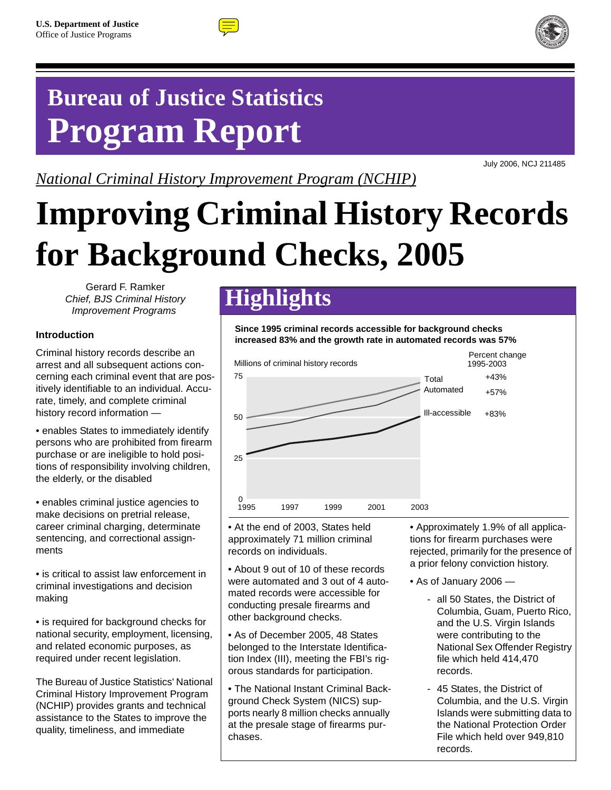



## **Bureau of Justice Statistics Program Report**

*National Criminal History Improvement Program (NCHIP)*

July 2006, NCJ 211485

# **Improving Criminal History Records for Background Checks, 2005**

Gerard F. Ramker *Chief, BJS Criminal History Improvement Programs*

#### **Introduction**

Criminal history records describe an arrest and all subsequent actions concerning each criminal event that are positively identifiable to an individual. Accurate, timely, and complete criminal history record information —

• enables States to immediately identify persons who are prohibited from firearm purchase or are ineligible to hold positions of responsibility involving children, the elderly, or the disabled

• enables criminal justice agencies to make decisions on pretrial release, career criminal charging, determinate sentencing, and correctional assignments

• is critical to assist law enforcement in criminal investigations and decision making

• is required for background checks for national security, employment, licensing, and related economic purposes, as required under recent legislation.

The Bureau of Justice Statistics' National Criminal History Improvement Program (NCHIP) provides grants and technical assistance to the States to improve the quality, timeliness, and immediate

### **Highlights**

**Since 1995 criminal records accessible for background checks increased 83% and the growth rate in automated records was 57%**



• At the end of 2003, States held approximately 71 million criminal records on individuals.

• About 9 out of 10 of these records were automated and 3 out of 4 automated records were accessible for conducting presale firearms and other background checks.

• As of December 2005, 48 States belonged to the Interstate Identification Index (III), meeting the FBI's rigorous standards for participation.

• The National Instant Criminal Background Check System (NICS) supports nearly 8 million checks annually at the presale stage of firearms purchases.

• Approximately 1.9% of all applications for firearm purchases were rejected, primarily for the presence of a prior felony conviction history.

- As of January 2006
	- all 50 States, the District of Columbia, Guam, Puerto Rico, and the U.S. Virgin Islands were contributing to the National Sex Offender Registry file which held 414,470 records.
	- 45 States, the District of Columbia, and the U.S. Virgin Islands were submitting data to the National Protection Order File which held over 949,810 records.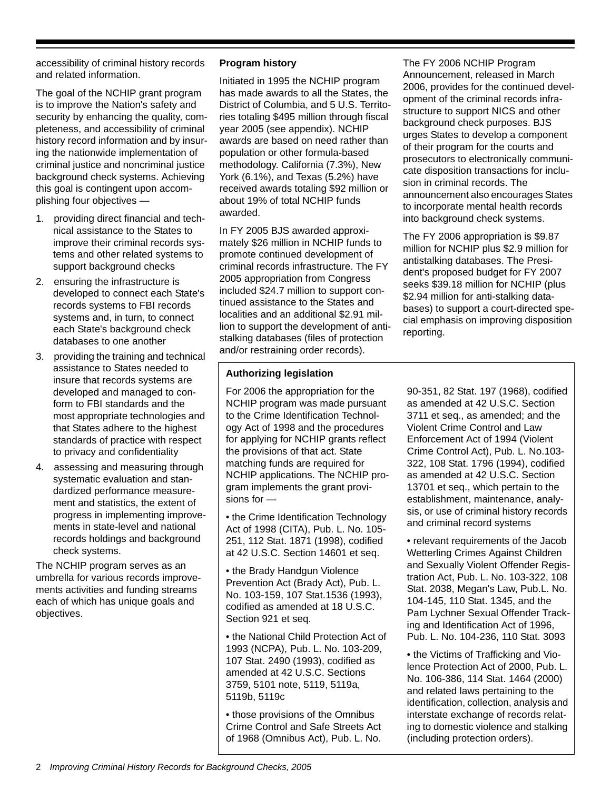accessibility of criminal history records and related information.

The goal of the NCHIP grant program is to improve the Nation's safety and security by enhancing the quality, completeness, and accessibility of criminal history record information and by insuring the nationwide implementation of criminal justice and noncriminal justice background check systems. Achieving this goal is contingent upon accomplishing four objectives —

- 1. providing direct financial and technical assistance to the States to improve their criminal records systems and other related systems to support background checks
- 2. ensuring the infrastructure is developed to connect each State's records systems to FBI records systems and, in turn, to connect each State's background check databases to one another
- 3. providing the training and technical assistance to States needed to insure that records systems are developed and managed to conform to FBI standards and the most appropriate technologies and that States adhere to the highest standards of practice with respect to privacy and confidentiality
- 4. assessing and measuring through systematic evaluation and standardized performance measurement and statistics, the extent of progress in implementing improvements in state-level and national records holdings and background check systems.

The NCHIP program serves as an umbrella for various records improvements activities and funding streams each of which has unique goals and objectives.

#### **Program history**

Initiated in 1995 the NCHIP program has made awards to all the States, the District of Columbia, and 5 U.S. Territories totaling \$495 million through fiscal year 2005 (see appendix). NCHIP awards are based on need rather than population or other formula-based methodology. California (7.3%), New York (6.1%), and Texas (5.2%) have received awards totaling \$92 million or about 19% of total NCHIP funds awarded.

In FY 2005 BJS awarded approximately \$26 million in NCHIP funds to promote continued development of criminal records infrastructure. The FY 2005 appropriation from Congress included \$24.7 million to support continued assistance to the States and localities and an additional \$2.91 million to support the development of antistalking databases (files of protection and/or restraining order records).

#### **Authorizing legislation**

For 2006 the appropriation for the NCHIP program was made pursuant to the Crime Identification Technology Act of 1998 and the procedures for applying for NCHIP grants reflect the provisions of that act. State matching funds are required for NCHIP applications. The NCHIP program implements the grant provisions for —

• the Crime Identification Technology Act of 1998 (CITA), Pub. L. No. 105- 251, 112 Stat. 1871 (1998), codified at 42 U.S.C. Section 14601 et seq.

• the Brady Handgun Violence Prevention Act (Brady Act), Pub. L. No. 103-159, 107 Stat.1536 (1993), codified as amended at 18 U.S.C. Section 921 et seq.

• the National Child Protection Act of 1993 (NCPA), Pub. L. No. 103-209, 107 Stat. 2490 (1993), codified as amended at 42 U.S.C. Sections 3759, 5101 note, 5119, 5119a, 5119b, 5119c

• those provisions of the Omnibus Crime Control and Safe Streets Act of 1968 (Omnibus Act), Pub. L. No.

The FY 2006 NCHIP Program Announcement, released in March 2006, provides for the continued development of the criminal records infrastructure to support NICS and other background check purposes. BJS urges States to develop a component of their program for the courts and prosecutors to electronically communicate disposition transactions for inclusion in criminal records. The announcement also encourages States to incorporate mental health records into background check systems.

The FY 2006 appropriation is \$9.87 million for NCHIP plus \$2.9 million for antistalking databases. The President's proposed budget for FY 2007 seeks \$39.18 million for NCHIP (plus \$2.94 million for anti-stalking databases) to support a court-directed special emphasis on improving disposition reporting.

90-351, 82 Stat. 197 (1968), codified as amended at 42 U.S.C. Section 3711 et seq., as amended; and the Violent Crime Control and Law Enforcement Act of 1994 (Violent Crime Control Act), Pub. L. No.103- 322, 108 Stat. 1796 (1994), codified as amended at 42 U.S.C. Section 13701 et seq., which pertain to the establishment, maintenance, analysis, or use of criminal history records and criminal record systems

• relevant requirements of the Jacob Wetterling Crimes Against Children and Sexually Violent Offender Registration Act, Pub. L. No. 103-322, 108 Stat. 2038, Megan's Law, Pub.L. No. 104-145, 110 Stat. 1345, and the Pam Lychner Sexual Offender Tracking and Identification Act of 1996, Pub. L. No. 104-236, 110 Stat. 3093

• the Victims of Trafficking and Violence Protection Act of 2000, Pub. L. No. 106-386, 114 Stat. 1464 (2000) and related laws pertaining to the identification, collection, analysis and interstate exchange of records relating to domestic violence and stalking (including protection orders).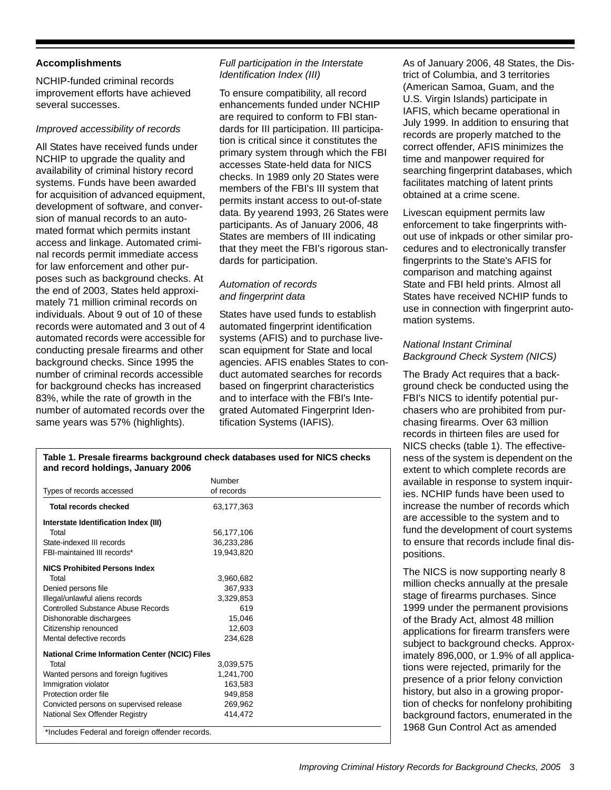#### **Accomplishments**

NCHIP-funded criminal records improvement efforts have achieved several successes.

#### *Improved accessibility of records*

All States have received funds under NCHIP to upgrade the quality and availability of criminal history record systems. Funds have been awarded for acquisition of advanced equipment, development of software, and conversion of manual records to an automated format which permits instant access and linkage. Automated criminal records permit immediate access for law enforcement and other purposes such as background checks. At the end of 2003, States held approximately 71 million criminal records on individuals. About 9 out of 10 of these records were automated and 3 out of 4 automated records were accessible for conducting presale firearms and other background checks. Since 1995 the number of criminal records accessible for background checks has increased 83%, while the rate of growth in the number of automated records over the same years was 57% (highlights).

**and record holdings, January 2006** 

#### *Full participation in the Interstate Identification Index (III)*

To ensure compatibility, all record enhancements funded under NCHIP are required to conform to FBI standards for III participation. III participation is critical since it constitutes the primary system through which the FBI accesses State-held data for NICS checks. In 1989 only 20 States were members of the FBI's III system that permits instant access to out-of-state data. By yearend 1993, 26 States were participants. As of January 2006, 48 States are members of III indicating that they meet the FBI's rigorous standards for participation.

#### *Automation of records and fingerprint data*

States have used funds to establish automated fingerprint identification systems (AFIS) and to purchase livescan equipment for State and local agencies. AFIS enables States to conduct automated searches for records based on fingerprint characteristics and to interface with the FBI's Integrated Automated Fingerprint Identification Systems (IAFIS).

As of January 2006, 48 States, the District of Columbia, and 3 territories (American Samoa, Guam, and the U.S. Virgin Islands) participate in IAFIS, which became operational in July 1999. In addition to ensuring that records are properly matched to the correct offender, AFIS minimizes the time and manpower required for searching fingerprint databases, which facilitates matching of latent prints obtained at a crime scene.

Livescan equipment permits law enforcement to take fingerprints without use of inkpads or other similar procedures and to electronically transfer fingerprints to the State's AFIS for comparison and matching against State and FBI held prints. Almost all States have received NCHIP funds to use in connection with fingerprint automation systems.

#### *National Instant Criminal Background Check System (NICS)*

The Brady Act requires that a background check be conducted using the FBI's NICS to identify potential purchasers who are prohibited from purchasing firearms. Over 63 million records in thirteen files are used for NICS checks (table 1). The effectiveness of the system is dependent on the extent to which complete records are available in response to system inquiries. NCHIP funds have been used to increase the number of records which are accessible to the system and to fund the development of court systems to ensure that records include final dispositions.

The NICS is now supporting nearly 8 million checks annually at the presale stage of firearms purchases. Since 1999 under the permanent provisions of the Brady Act, almost 48 million applications for firearm transfers were subject to background checks. Approximately 896,000, or 1.9% of all applications were rejected, primarily for the presence of a prior felony conviction history, but also in a growing proportion of checks for nonfelony prohibiting background factors, enumerated in the 1968 Gun Control Act as amended

| Types of records accessed | of records |  |
|---------------------------|------------|--|
| Total records checked     | 63.177.363 |  |

Number

**Table 1. Presale firearms background check databases used for NICS checks** 

| Total records checked                                 | 63,177,363 |  |
|-------------------------------------------------------|------------|--|
| Interstate Identification Index (III)                 |            |  |
| Total                                                 | 56,177,106 |  |
| State-indexed III records                             | 36,233,286 |  |
| FBI-maintained III records*                           | 19,943,820 |  |
| <b>NICS Prohibited Persons Index</b>                  |            |  |
| Total                                                 | 3,960,682  |  |
| Denied persons file                                   | 367,933    |  |
| Illegal/unlawful aliens records                       | 3,329,853  |  |
| Controlled Substance Abuse Records                    | 619        |  |
| Dishonorable dischargees                              | 15,046     |  |
| Citizenship renounced                                 | 12,603     |  |
| Mental defective records                              | 234,628    |  |
| <b>National Crime Information Center (NCIC) Files</b> |            |  |
| Total                                                 | 3,039,575  |  |
| Wanted persons and foreign fugitives                  | 1,241,700  |  |
| Immigration violator                                  | 163,583    |  |
| Protection order file                                 | 949,858    |  |
| Convicted persons on supervised release               | 269,962    |  |
| National Sex Offender Registry                        | 414,472    |  |
| *Includes Federal and foreign offender records.       |            |  |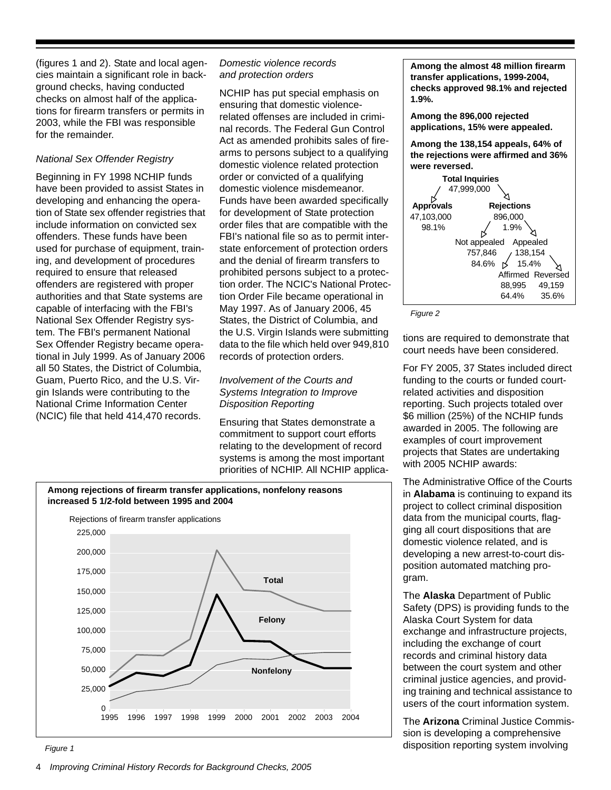(figures 1 and 2). State and local agencies maintain a significant role in background checks, having conducted checks on almost half of the applications for firearm transfers or permits in 2003, while the FBI was responsible for the remainder.

#### *National Sex Offender Registry*

Beginning in FY 1998 NCHIP funds have been provided to assist States in developing and enhancing the operation of State sex offender registries that include information on convicted sex offenders. These funds have been used for purchase of equipment, training, and development of procedures required to ensure that released offenders are registered with proper authorities and that State systems are capable of interfacing with the FBI's National Sex Offender Registry system. The FBI's permanent National Sex Offender Registry became operational in July 1999. As of January 2006 all 50 States, the District of Columbia, Guam, Puerto Rico, and the U.S. Virgin Islands were contributing to the National Crime Information Center (NCIC) file that held 414,470 records.

#### *Domestic violence records and protection orders*

NCHIP has put special emphasis on ensuring that domestic violencerelated offenses are included in criminal records. The Federal Gun Control Act as amended prohibits sales of firearms to persons subject to a qualifying domestic violence related protection order or convicted of a qualifying domestic violence misdemeanor. Funds have been awarded specifically for development of State protection order files that are compatible with the FBI's national file so as to permit interstate enforcement of protection orders and the denial of firearm transfers to prohibited persons subject to a protection order. The NCIC's National Protection Order File became operational in May 1997. As of January 2006, 45 States, the District of Columbia, and the U.S. Virgin Islands were submitting data to the file which held over 949,810 records of protection orders.

#### *Involvement of the Courts and Systems Integration to Improve Disposition Reporting*

Ensuring that States demonstrate a commitment to support court efforts relating to the development of record systems is among the most important priorities of NCHIP. All NCHIP applica-



**Among the 896,000 rejected applications, 15% were appealed.**

**Among the 138,154 appeals, 64% of the rejections were affirmed and 36% were reversed.**



*Figure 2*

tions are required to demonstrate that court needs have been considered.

For FY 2005, 37 States included direct funding to the courts or funded courtrelated activities and disposition reporting. Such projects totaled over \$6 million (25%) of the NCHIP funds awarded in 2005. The following are examples of court improvement projects that States are undertaking with 2005 NCHIP awards:

The Administrative Office of the Courts in **Alabama** is continuing to expand its project to collect criminal disposition data from the municipal courts, flagging all court dispositions that are domestic violence related, and is developing a new arrest-to-court disposition automated matching program.

The **Alaska** Department of Public Safety (DPS) is providing funds to the Alaska Court System for data exchange and infrastructure projects, including the exchange of court records and criminal history data between the court system and other criminal justice agencies, and providing training and technical assistance to users of the court information system.

The **Arizona** Criminal Justice Commission is developing a comprehensive disposition reporting system involving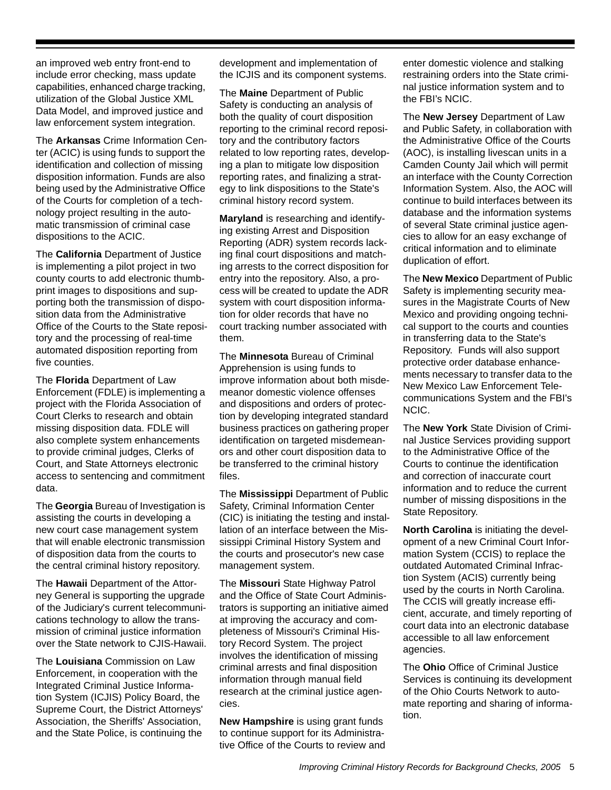an improved web entry front-end to include error checking, mass update capabilities, enhanced charge tracking, utilization of the Global Justice XML Data Model, and improved justice and law enforcement system integration.

The **Arkansas** Crime Information Center (ACIC) is using funds to support the identification and collection of missing disposition information. Funds are also being used by the Administrative Office of the Courts for completion of a technology project resulting in the automatic transmission of criminal case dispositions to the ACIC.

The **California** Department of Justice is implementing a pilot project in two county courts to add electronic thumbprint images to dispositions and supporting both the transmission of disposition data from the Administrative Office of the Courts to the State repository and the processing of real-time automated disposition reporting from five counties.

The **Florida** Department of Law Enforcement (FDLE) is implementing a project with the Florida Association of Court Clerks to research and obtain missing disposition data. FDLE will also complete system enhancements to provide criminal judges, Clerks of Court, and State Attorneys electronic access to sentencing and commitment data.

The **Georgia** Bureau of Investigation is assisting the courts in developing a new court case management system that will enable electronic transmission of disposition data from the courts to the central criminal history repository.

The **Hawaii** Department of the Attorney General is supporting the upgrade of the Judiciary's current telecommunications technology to allow the transmission of criminal justice information over the State network to CJIS-Hawaii.

The **Louisiana** Commission on Law Enforcement, in cooperation with the Integrated Criminal Justice Information System (ICJIS) Policy Board, the Supreme Court, the District Attorneys' Association, the Sheriffs' Association, and the State Police, is continuing the development and implementation of the ICJIS and its component systems.

The **Maine** Department of Public Safety is conducting an analysis of both the quality of court disposition reporting to the criminal record repository and the contributory factors related to low reporting rates, developing a plan to mitigate low disposition reporting rates, and finalizing a strategy to link dispositions to the State's criminal history record system.

**Maryland** is researching and identifying existing Arrest and Disposition Reporting (ADR) system records lacking final court dispositions and matching arrests to the correct disposition for entry into the repository. Also, a process will be created to update the ADR system with court disposition information for older records that have no court tracking number associated with them.

The **Minnesota** Bureau of Criminal Apprehension is using funds to improve information about both misdemeanor domestic violence offenses and dispositions and orders of protection by developing integrated standard business practices on gathering proper identification on targeted misdemeanors and other court disposition data to be transferred to the criminal history files.

The **Mississippi** Department of Public Safety, Criminal Information Center (CIC) is initiating the testing and installation of an interface between the Mississippi Criminal History System and the courts and prosecutor's new case management system.

The **Missouri** State Highway Patrol and the Office of State Court Administrators is supporting an initiative aimed at improving the accuracy and completeness of Missouri's Criminal History Record System. The project involves the identification of missing criminal arrests and final disposition information through manual field research at the criminal justice agencies.

**New Hampshire** is using grant funds to continue support for its Administrative Office of the Courts to review and enter domestic violence and stalking restraining orders into the State criminal justice information system and to the FBI's NCIC.

The **New Jersey** Department of Law and Public Safety, in collaboration with the Administrative Office of the Courts (AOC), is installing livescan units in a Camden County Jail which will permit an interface with the County Correction Information System. Also, the AOC will continue to build interfaces between its database and the information systems of several State criminal justice agencies to allow for an easy exchange of critical information and to eliminate duplication of effort.

The **New Mexico** Department of Public Safety is implementing security measures in the Magistrate Courts of New Mexico and providing ongoing technical support to the courts and counties in transferring data to the State's Repository. Funds will also support protective order database enhancements necessary to transfer data to the New Mexico Law Enforcement Telecommunications System and the FBI's NCIC.

The **New York** State Division of Criminal Justice Services providing support to the Administrative Office of the Courts to continue the identification and correction of inaccurate court information and to reduce the current number of missing dispositions in the State Repository.

**North Carolina** is initiating the development of a new Criminal Court Information System (CCIS) to replace the outdated Automated Criminal Infraction System (ACIS) currently being used by the courts in North Carolina. The CCIS will greatly increase efficient, accurate, and timely reporting of court data into an electronic database accessible to all law enforcement agencies.

The **Ohio** Office of Criminal Justice Services is continuing its development of the Ohio Courts Network to automate reporting and sharing of information.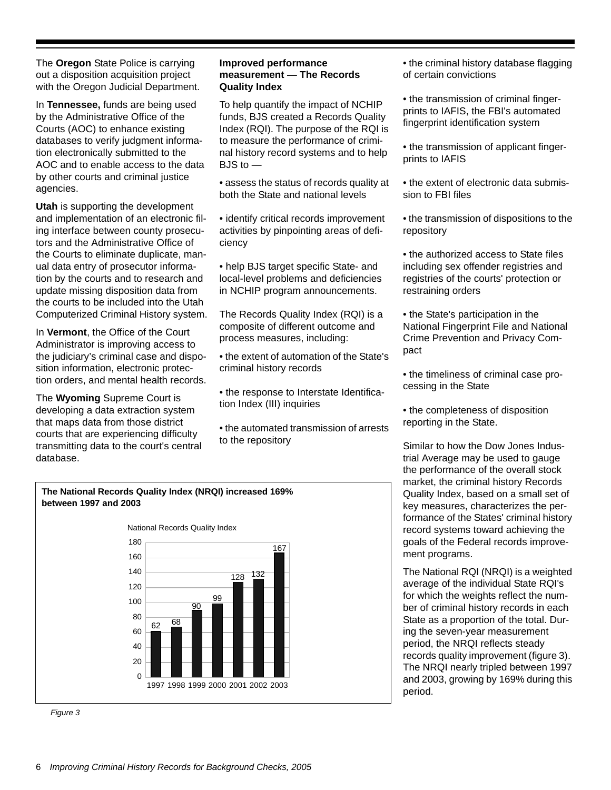The **Oregon** State Police is carrying out a disposition acquisition project with the Oregon Judicial Department.

In **Tennessee,** funds are being used by the Administrative Office of the Courts (AOC) to enhance existing databases to verify judgment information electronically submitted to the AOC and to enable access to the data by other courts and criminal justice agencies.

**Utah** is supporting the development and implementation of an electronic filing interface between county prosecutors and the Administrative Office of the Courts to eliminate duplicate, manual data entry of prosecutor information by the courts and to research and update missing disposition data from the courts to be included into the Utah Computerized Criminal History system.

In **Vermont**, the Office of the Court Administrator is improving access to the judiciary's criminal case and disposition information, electronic protection orders, and mental health records.

The **Wyoming** Supreme Court is developing a data extraction system that maps data from those district courts that are experiencing difficulty transmitting data to the court's central database.

#### **Improved performance measurement — The Records Quality Index**

To help quantify the impact of NCHIP funds, BJS created a Records Quality Index (RQI). The purpose of the RQI is to measure the performance of criminal history record systems and to help  $BJS$  to  $-$ 

• assess the status of records quality at both the State and national levels

• identify critical records improvement activities by pinpointing areas of deficiency

• help BJS target specific State- and local-level problems and deficiencies in NCHIP program announcements.

The Records Quality Index (RQI) is a composite of different outcome and process measures, including:

- the extent of automation of the State's criminal history records
- the response to Interstate Identification Index (III) inquiries
- the automated transmission of arrests to the repository

• the criminal history database flagging of certain convictions

- the transmission of criminal fingerprints to IAFIS, the FBI's automated fingerprint identification system
- the transmission of applicant fingerprints to IAFIS
- the extent of electronic data submission to FBI files
- the transmission of dispositions to the repository
- the authorized access to State files including sex offender registries and registries of the courts' protection or restraining orders
- the State's participation in the National Fingerprint File and National Crime Prevention and Privacy Compact
- the timeliness of criminal case processing in the State
- the completeness of disposition reporting in the State.

Similar to how the Dow Jones Industrial Average may be used to gauge the performance of the overall stock market, the criminal history Records Quality Index, based on a small set of key measures, characterizes the performance of the States' criminal history record systems toward achieving the goals of the Federal records improvement programs.

The National RQI (NRQI) is a weighted average of the individual State RQI's for which the weights reflect the number of criminal history records in each State as a proportion of the total. During the seven-year measurement period, the NRQI reflects steady records quality improvement (figure 3). The NRQI nearly tripled between 1997 and 2003, growing by 169% during this period.



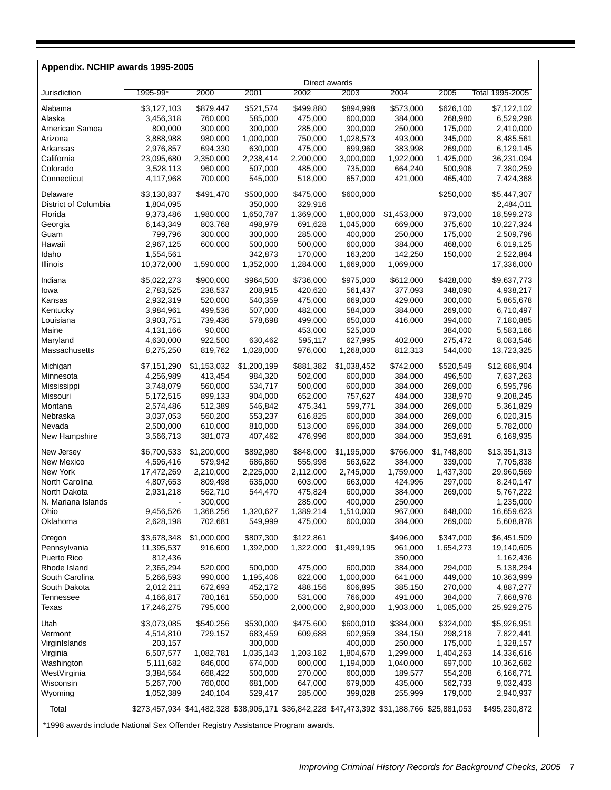#### **Appendix. NCHIP awards 1995-2005**

|                                                                                | Direct awards                                                                               |                    |             |           |                    |                    |             |                 |  |  |
|--------------------------------------------------------------------------------|---------------------------------------------------------------------------------------------|--------------------|-------------|-----------|--------------------|--------------------|-------------|-----------------|--|--|
| Jurisdiction                                                                   | 1995-99*                                                                                    | 2000               | 2001        | 2002      | 2003               | 2004               | 2005        | Total 1995-2005 |  |  |
| Alabama                                                                        | \$3,127,103                                                                                 | \$879,447          | \$521,574   | \$499,880 | \$894,998          | \$573,000          | \$626,100   | \$7,122,102     |  |  |
| Alaska                                                                         | 3,456,318                                                                                   | 760,000            | 585,000     | 475,000   | 600,000            | 384,000            | 268,980     | 6,529,298       |  |  |
| American Samoa                                                                 | 800,000                                                                                     | 300,000            | 300,000     | 285,000   | 300,000            | 250,000            | 175,000     | 2,410,000       |  |  |
| Arizona                                                                        | 3,888,988                                                                                   | 980,000            | 1,000,000   | 750,000   | 1,028,573          | 493,000            | 345,000     | 8,485,561       |  |  |
| Arkansas                                                                       | 2,976,857                                                                                   | 694,330            | 630,000     | 475,000   | 699,960            | 383,998            | 269,000     | 6,129,145       |  |  |
| California                                                                     | 23,095,680                                                                                  | 2,350,000          | 2,238,414   | 2,200,000 | 3,000,000          | 1,922,000          | 1,425,000   | 36,231,094      |  |  |
| Colorado                                                                       | 3,528,113                                                                                   | 960,000            | 507,000     | 485,000   | 735,000            | 664,240            | 500,906     | 7,380,259       |  |  |
| Connecticut                                                                    | 4,117,968                                                                                   | 700,000            | 545,000     | 518,000   | 657,000            | 421,000            | 465,400     | 7,424,368       |  |  |
|                                                                                |                                                                                             |                    |             |           |                    |                    |             |                 |  |  |
| Delaware                                                                       | \$3,130,837                                                                                 | \$491,470          | \$500,000   | \$475,000 | \$600,000          |                    | \$250,000   | \$5,447,307     |  |  |
| District of Columbia                                                           | 1,804,095                                                                                   |                    | 350,000     | 329,916   |                    |                    |             | 2,484,011       |  |  |
| Florida                                                                        | 9,373,486                                                                                   | 1,980,000          | 1,650,787   | 1,369,000 | 1,800,000          | \$1,453,000        | 973,000     | 18,599,273      |  |  |
| Georgia                                                                        | 6,143,349                                                                                   | 803,768            | 498,979     | 691,628   | 1,045,000          | 669,000            | 375,600     | 10,227,324      |  |  |
| Guam                                                                           | 799,796                                                                                     | 300,000            | 300,000     | 285,000   | 400,000            | 250,000            | 175,000     | 2,509,796       |  |  |
| Hawaii                                                                         | 2,967,125                                                                                   | 600,000            | 500,000     | 500,000   | 600,000            | 384,000            | 468,000     | 6,019,125       |  |  |
| Idaho                                                                          | 1,554,561                                                                                   |                    | 342,873     | 170,000   | 163,200            | 142,250            | 150,000     | 2,522,884       |  |  |
| Illinois                                                                       | 10,372,000                                                                                  | 1,590,000          | 1,352,000   | 1,284,000 | 1,669,000          | 1,069,000          |             | 17,336,000      |  |  |
| Indiana                                                                        | \$5,022,273                                                                                 | \$900,000          | \$964,500   | \$736,000 | \$975,000          | \$612,000          | \$428,000   | \$9,637,773     |  |  |
| lowa                                                                           | 2,783,525                                                                                   | 238,537            | 208,915     | 420,620   | 561,437            | 377,093            | 348,090     | 4,938,217       |  |  |
| Kansas                                                                         | 2,932,319                                                                                   | 520,000            | 540,359     | 475,000   | 669,000            | 429,000            | 300,000     | 5,865,678       |  |  |
| Kentucky                                                                       | 3,984,961                                                                                   | 499,536            | 507,000     | 482,000   | 584,000            | 384,000            | 269,000     | 6,710,497       |  |  |
| Louisiana                                                                      | 3,903,751                                                                                   | 739,436            | 578,698     | 499,000   | 650,000            | 416,000            | 394,000     | 7,180,885       |  |  |
| Maine                                                                          | 4,131,166                                                                                   | 90,000             |             | 453,000   | 525,000            |                    | 384,000     | 5,583,166       |  |  |
| Maryland                                                                       | 4,630,000                                                                                   | 922,500            | 630,462     | 595,117   | 627,995            | 402,000            | 275,472     | 8,083,546       |  |  |
| Massachusetts                                                                  | 8,275,250                                                                                   | 819,762            | 1,028,000   | 976,000   | 1,268,000          | 812,313            | 544,000     | 13,723,325      |  |  |
| Michigan                                                                       | \$7,151,290                                                                                 | \$1,153,032        | \$1,200,199 | \$881,382 | \$1,038,452        | \$742,000          | \$520,549   | \$12,686,904    |  |  |
| Minnesota                                                                      | 4,256,989                                                                                   | 413,454            | 984,320     | 502,000   | 600,000            | 384,000            | 496,500     | 7,637,263       |  |  |
|                                                                                | 3,748,079                                                                                   | 560,000            | 534,717     | 500,000   | 600,000            | 384,000            | 269,000     | 6,595,796       |  |  |
| Mississippi<br>Missouri                                                        | 5,172,515                                                                                   | 899,133            | 904,000     | 652,000   | 757,627            | 484,000            | 338,970     | 9,208,245       |  |  |
| Montana                                                                        | 2,574,486                                                                                   | 512,389            | 546,842     | 475,341   | 599,771            | 384,000            | 269,000     | 5,361,829       |  |  |
| Nebraska                                                                       | 3,037,053                                                                                   | 560,200            | 553,237     | 616,825   | 600,000            | 384,000            | 269,000     | 6,020,315       |  |  |
| Nevada                                                                         | 2,500,000                                                                                   | 610,000            | 810,000     | 513,000   | 696,000            | 384,000            | 269,000     | 5,782,000       |  |  |
| New Hampshire                                                                  | 3,566,713                                                                                   | 381,073            | 407,462     | 476,996   | 600,000            | 384,000            | 353,691     | 6,169,935       |  |  |
|                                                                                |                                                                                             |                    |             |           |                    |                    |             |                 |  |  |
| New Jersey                                                                     | \$6,700,533                                                                                 | \$1,200,000        | \$892,980   | \$848,000 | \$1,195,000        | \$766,000          | \$1,748,800 | \$13,351,313    |  |  |
| New Mexico                                                                     | 4,596,416                                                                                   | 579,942            | 686,860     | 555,998   | 563,622            | 384,000            | 339,000     | 7,705,838       |  |  |
| New York                                                                       | 17,472,269                                                                                  | 2,210,000          | 2,225,000   | 2,112,000 | 2,745,000          | 1,759,000          | 1,437,300   | 29,960,569      |  |  |
| North Carolina                                                                 | 4,807,653                                                                                   | 809,498            | 635,000     | 603,000   | 663,000            | 424,996            | 297,000     | 8,240,147       |  |  |
| North Dakota                                                                   | 2,931,218                                                                                   | 562,710            | 544,470     | 475,824   | 600,000            | 384,000            | 269,000     | 5,767,222       |  |  |
| N. Mariana Islands                                                             |                                                                                             | 300,000            |             | 285,000   | 400,000            | 250,000            |             | 1,235,000       |  |  |
| Ohio                                                                           | 9,456,526                                                                                   | 1,368,256          | 1,320,627   | 1,389,214 | 1,510,000          | 967,000            | 648,000     | 16,659,623      |  |  |
| Oklahoma                                                                       | 2,628,198                                                                                   | 702,681            | 549,999     | 475,000   | 600,000            | 384,000            | 269,000     | 5,608,878       |  |  |
| Oregon                                                                         | \$3,678,348                                                                                 | \$1,000,000        | \$807,300   | \$122,861 |                    | \$496,000          | \$347,000   | \$6,451,509     |  |  |
| Pennsylvania                                                                   | 11,395,537                                                                                  | 916,600            | 1,392,000   | 1,322,000 | \$1,499,195        | 961,000            | 1,654,273   | 19,140,605      |  |  |
| Puerto Rico                                                                    | 812,436                                                                                     |                    |             |           |                    | 350,000            |             | 1,162,436       |  |  |
| Rhode Island                                                                   | 2,365,294                                                                                   | 520,000            | 500,000     | 475,000   | 600,000            | 384,000            | 294,000     | 5,138,294       |  |  |
| South Carolina                                                                 | 5,266,593                                                                                   | 990,000            | 1,195,406   | 822,000   | 1,000,000          | 641,000            | 449,000     | 10,363,999      |  |  |
| South Dakota                                                                   | 2,012,211                                                                                   | 672,693            | 452,172     | 488,156   | 606,895            | 385,150            | 270,000     | 4,887,277       |  |  |
| <b>Tennessee</b>                                                               | 4,166,817                                                                                   | 780,161            | 550,000     | 531,000   | 766,000            | 491,000            | 384,000     | 7,668,978       |  |  |
| Texas                                                                          | 17,246,275                                                                                  | 795,000            |             | 2,000,000 | 2,900,000          | 1,903,000          | 1,085,000   | 25,929,275      |  |  |
|                                                                                |                                                                                             |                    |             | \$475,600 |                    |                    |             |                 |  |  |
| Utah                                                                           | \$3,073,085                                                                                 | \$540,256          | \$530,000   |           | \$600,010          | \$384,000          | \$324,000   | \$5,926,951     |  |  |
| Vermont                                                                        | 4,514,810                                                                                   | 729,157            | 683,459     | 609,688   | 602,959            | 384,150            | 298,218     | 7,822,441       |  |  |
| VirginIslands                                                                  | 203,157                                                                                     |                    | 300,000     |           | 400,000            | 250,000            | 175,000     | 1,328,157       |  |  |
| Virginia                                                                       | 6,507,577                                                                                   | 1,082,781          | 1,035,143   | 1,203,182 | 1,804,670          | 1,299,000          | 1,404,263   | 14,336,616      |  |  |
| Washington                                                                     | 5,111,682                                                                                   | 846,000            | 674,000     | 800,000   | 1,194,000          | 1,040,000          | 697,000     | 10,362,682      |  |  |
| WestVirginia                                                                   | 3,384,564                                                                                   | 668,422<br>760,000 | 500,000     | 270,000   | 600,000<br>679,000 | 189,577<br>435,000 | 554,208     | 6,166,771       |  |  |
| Wisconsin                                                                      | 5,267,700                                                                                   |                    | 681,000     | 647,000   |                    |                    | 562,733     | 9,032,433       |  |  |
| Wyoming                                                                        | 1,052,389                                                                                   | 240,104            | 529,417     | 285,000   | 399,028            | 255,999            | 179,000     | 2,940,937       |  |  |
| Total                                                                          | \$273,457,934 \$41,482,328 \$38,905,171 \$36,842,228 \$47,473,392 \$31,188,766 \$25,881,053 |                    |             |           |                    |                    |             | \$495,230,872   |  |  |
| *1998 awards include National Sex Offender Registry Assistance Program awards. |                                                                                             |                    |             |           |                    |                    |             |                 |  |  |